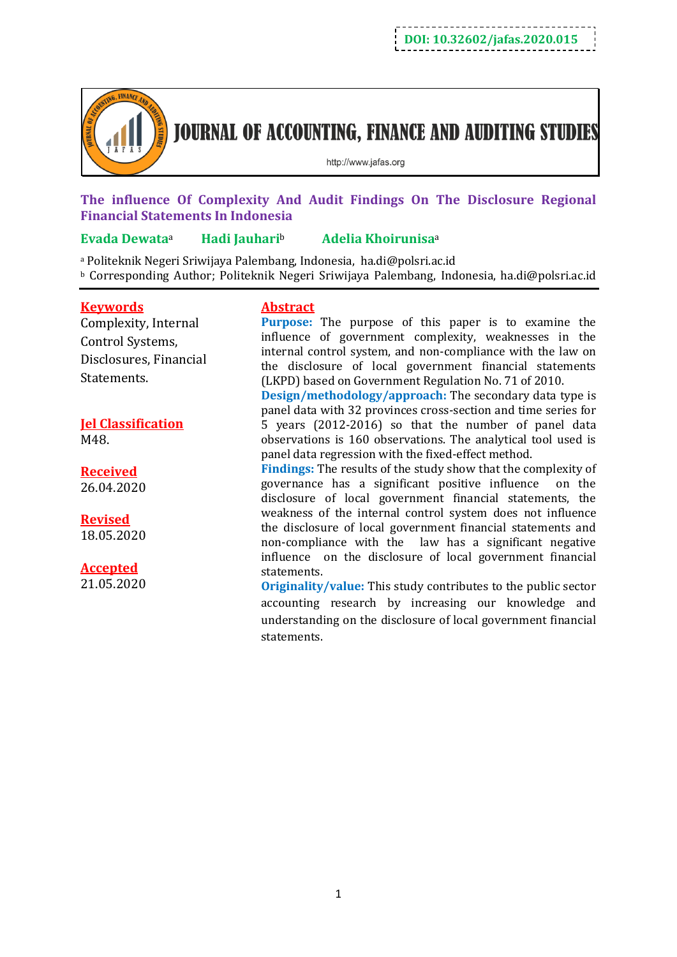

**JOURNAL OF ACCOUNTING, FINANCE AND AUDITING STUDIES** 

http://www.jafas.org

## **The influence Of Complexity And Audit Findings On The Disclosure Regional Financial Statements In Indonesia**

## **Evada Dewata**<sup>a</sup> **Hadi Jauhari**<sup>b</sup> **Adelia Khoirunisa**<sup>a</sup>

<sup>a</sup> Politeknik Negeri Sriwijaya Palembang, Indonesia, ha.di@polsri.ac.id <sup>b</sup> Corresponding Author; Politeknik Negeri Sriwijaya Palembang, Indonesia, ha.di@polsri.ac.id

## **Keywords**

Complexity, Internal Control Systems, Disclosures, Financial Statements.

# **Jel Classification**

M48.

**Received** 26.04.2020

## **Revised**

18.05.2020

## **Accepted**

21.05.2020

## **Abstract**

**Purpose:** The purpose of this paper is to examine the influence of government complexity, weaknesses in the internal control system, and non-compliance with the law on the disclosure of local government financial statements (LKPD) based on Government Regulation No. 71 of 2010.

**Design/methodology/approach:** The secondary data type is panel data with 32 provinces cross-section and time series for 5 years (2012-2016) so that the number of panel data observations is 160 observations. The analytical tool used is panel data regression with the fixed-effect method.

**Findings:** The results of the study show that the complexity of governance has a significant positive influence on the disclosure of local government financial statements, the weakness of the internal control system does not influence the disclosure of local government financial statements and non-compliance with the law has a significant negative influence on the disclosure of local government financial statements.

**Originality/value:** This study contributes to the public sector accounting research by increasing our knowledge and understanding on the disclosure of local government financial statements.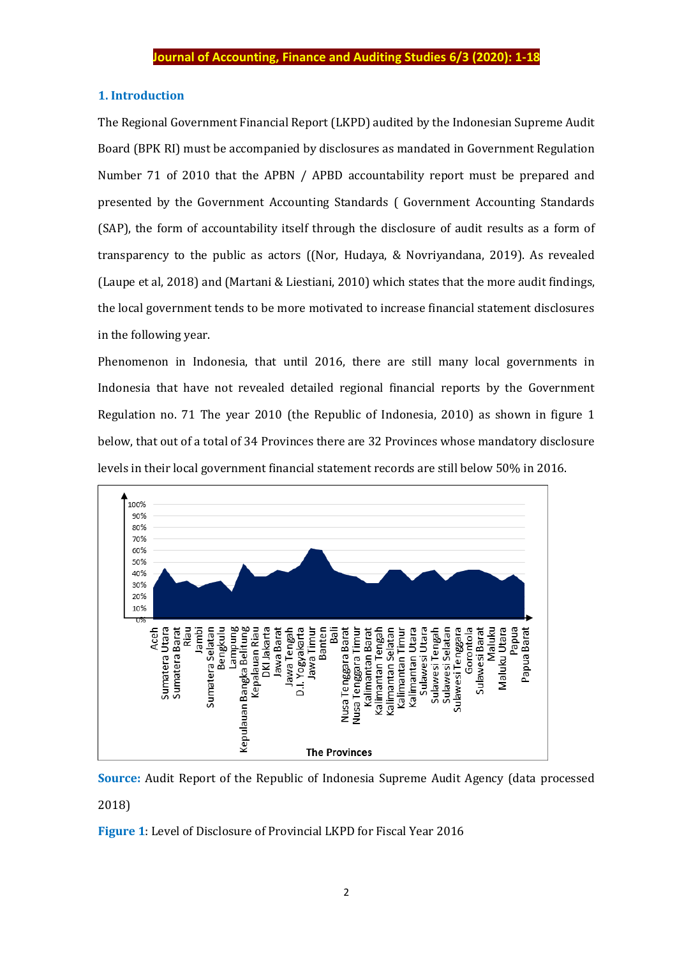## **1. Introduction**

The Regional Government Financial Report (LKPD) audited by the Indonesian Supreme Audit Board (BPK RI) must be accompanied by disclosures as mandated in Government Regulation Number 71 of 2010 that the APBN / APBD accountability report must be prepared and presented by the Government Accounting Standards ( Government Accounting Standards (SAP), the form of accountability itself through the disclosure of audit results as a form of transparency to the public as actors ((Nor, Hudaya, & Novriyandana, 2019). As revealed (Laupe et al, 2018) and (Martani & Liestiani, 2010) which states that the more audit findings, the local government tends to be more motivated to increase financial statement disclosures in the following year.

Phenomenon in Indonesia, that until 2016, there are still many local governments in Indonesia that have not revealed detailed regional financial reports by the Government Regulation no. 71 The year 2010 (the Republic of Indonesia, 2010) as shown in figure 1 below, that out of a total of 34 Provinces there are 32 Provinces whose mandatory disclosure levels in their local government financial statement records are still below 50% in 2016.



**Source:** Audit Report of the Republic of Indonesia Supreme Audit Agency (data processed 2018)

**Figure 1**: Level of Disclosure of Provincial LKPD for Fiscal Year 2016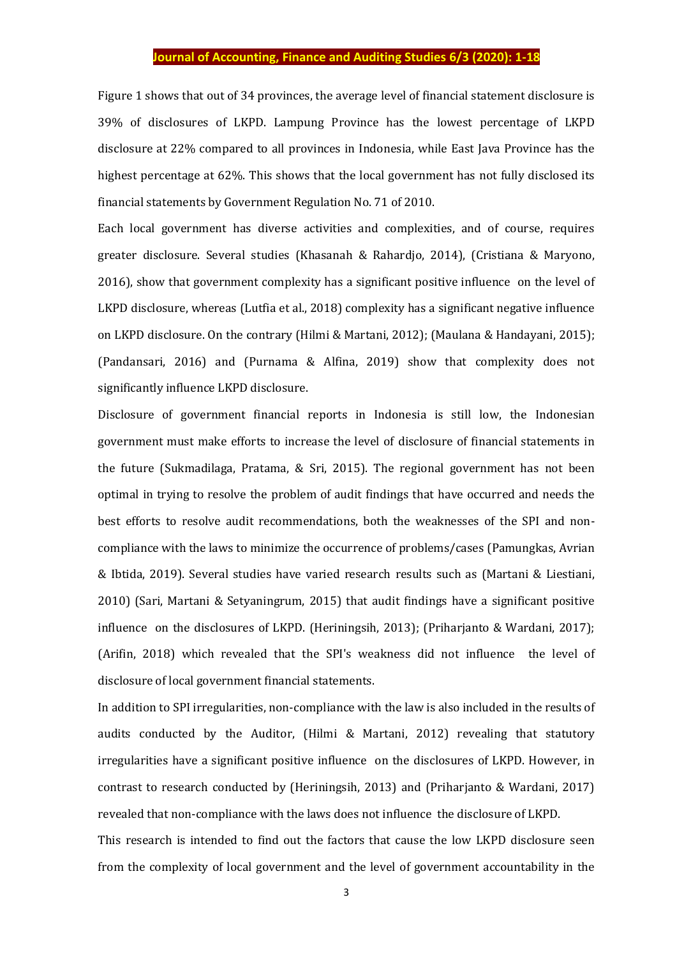Figure 1 shows that out of 34 provinces, the average level of financial statement disclosure is 39% of disclosures of LKPD. Lampung Province has the lowest percentage of LKPD disclosure at 22% compared to all provinces in Indonesia, while East Java Province has the highest percentage at 62%. This shows that the local government has not fully disclosed its financial statements by Government Regulation No. 71 of 2010.

Each local government has diverse activities and complexities, and of course, requires greater disclosure. Several studies (Khasanah & Rahardjo, 2014), (Cristiana & Maryono, 2016), show that government complexity has a significant positive influence on the level of LKPD disclosure, whereas (Lutfia et al., 2018) complexity has a significant negative influence on LKPD disclosure. On the contrary (Hilmi & Martani, 2012); (Maulana & Handayani, 2015); (Pandansari, 2016) and (Purnama & Alfina, 2019) show that complexity does not significantly influence LKPD disclosure.

Disclosure of government financial reports in Indonesia is still low, the Indonesian government must make efforts to increase the level of disclosure of financial statements in the future (Sukmadilaga, Pratama, & Sri, 2015). The regional government has not been optimal in trying to resolve the problem of audit findings that have occurred and needs the best efforts to resolve audit recommendations, both the weaknesses of the SPI and noncompliance with the laws to minimize the occurrence of problems/cases (Pamungkas, Avrian & Ibtida, 2019). Several studies have varied research results such as (Martani & Liestiani, 2010) (Sari, Martani & Setyaningrum, 2015) that audit findings have a significant positive influence on the disclosures of LKPD. (Heriningsih, 2013); (Priharjanto & Wardani, 2017); (Arifin, 2018) which revealed that the SPI's weakness did not influence the level of disclosure of local government financial statements.

In addition to SPI irregularities, non-compliance with the law is also included in the results of audits conducted by the Auditor, (Hilmi & Martani, 2012) revealing that statutory irregularities have a significant positive influence on the disclosures of LKPD. However, in contrast to research conducted by (Heriningsih, 2013) and (Priharjanto & Wardani, 2017) revealed that non-compliance with the laws does not influence the disclosure of LKPD.

This research is intended to find out the factors that cause the low LKPD disclosure seen from the complexity of local government and the level of government accountability in the

3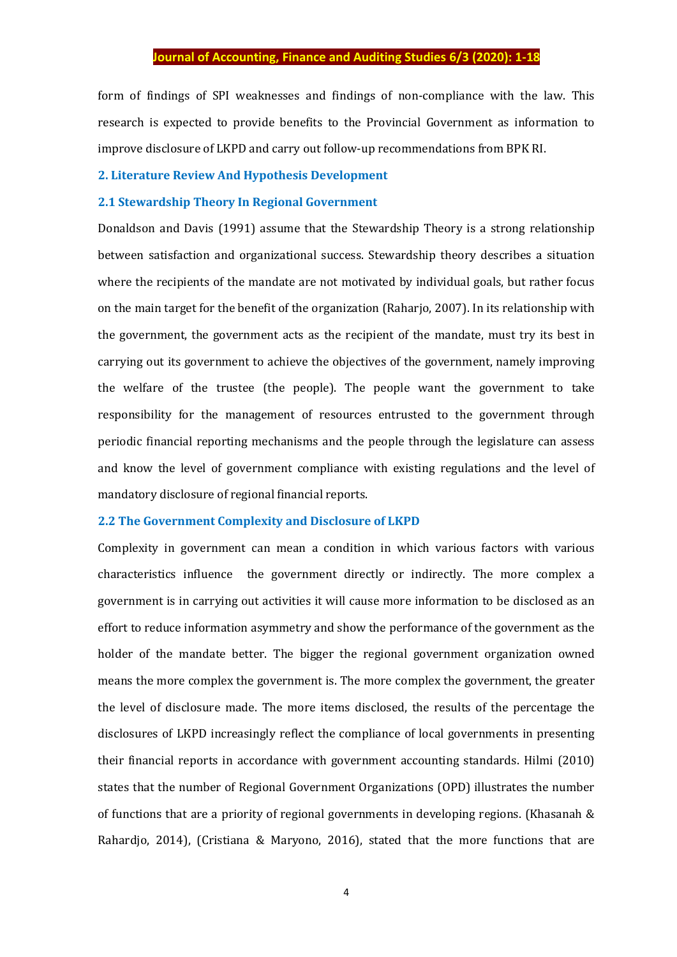form of findings of SPI weaknesses and findings of non-compliance with the law. This research is expected to provide benefits to the Provincial Government as information to improve disclosure of LKPD and carry out follow-up recommendations from BPK RI.

#### **2. Literature Review And Hypothesis Development**

## **2.1 Stewardship Theory In Regional Government**

Donaldson and Davis (1991) assume that the Stewardship Theory is a strong relationship between satisfaction and organizational success. Stewardship theory describes a situation where the recipients of the mandate are not motivated by individual goals, but rather focus on the main target for the benefit of the organization (Raharjo, 2007). In its relationship with the government, the government acts as the recipient of the mandate, must try its best in carrying out its government to achieve the objectives of the government, namely improving the welfare of the trustee (the people). The people want the government to take responsibility for the management of resources entrusted to the government through periodic financial reporting mechanisms and the people through the legislature can assess and know the level of government compliance with existing regulations and the level of mandatory disclosure of regional financial reports.

#### **2.2 The Government Complexity and Disclosure of LKPD**

Complexity in government can mean a condition in which various factors with various characteristics influence the government directly or indirectly. The more complex a government is in carrying out activities it will cause more information to be disclosed as an effort to reduce information asymmetry and show the performance of the government as the holder of the mandate better. The bigger the regional government organization owned means the more complex the government is. The more complex the government, the greater the level of disclosure made. The more items disclosed, the results of the percentage the disclosures of LKPD increasingly reflect the compliance of local governments in presenting their financial reports in accordance with government accounting standards. Hilmi (2010) states that the number of Regional Government Organizations (OPD) illustrates the number of functions that are a priority of regional governments in developing regions. (Khasanah & Rahardjo, 2014), (Cristiana & Maryono, 2016), stated that the more functions that are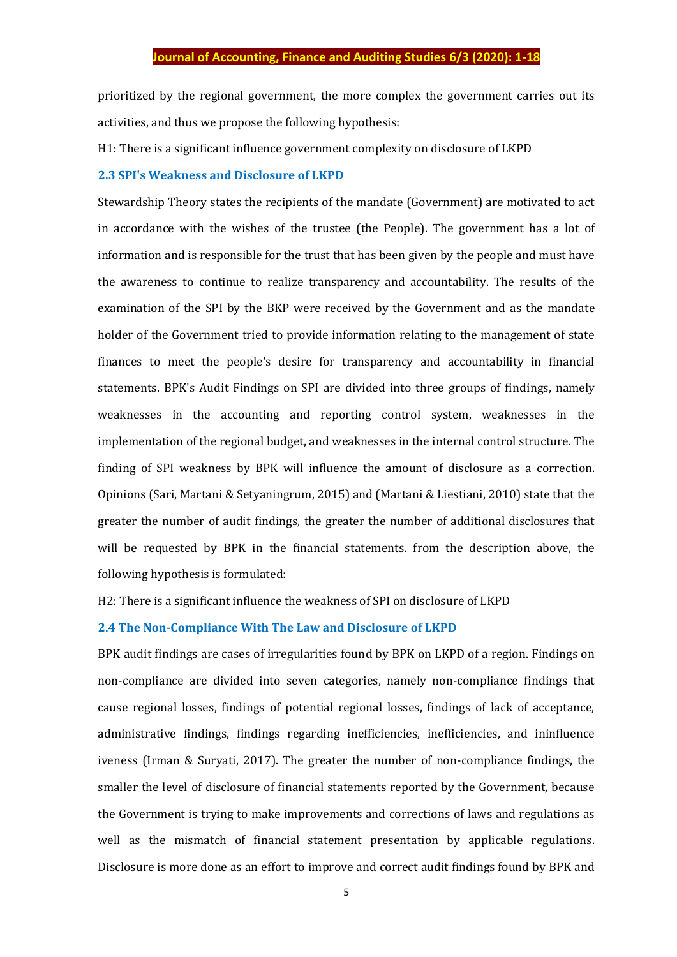prioritized by the regional government, the more complex the government carries out its activities, and thus we propose the following hypothesis:

H1: There is a significant influence government complexity on disclosure of LKPD

#### **2.3 SPI's Weakness and Disclosure of LKPD**

Stewardship Theory states the recipients of the mandate (Government) are motivated to act in accordance with the wishes of the trustee (the People). The government has a lot of information and is responsible for the trust that has been given by the people and must have the awareness to continue to realize transparency and accountability. The results of the examination of the SPI by the BKP were received by the Government and as the mandate holder of the Government tried to provide information relating to the management of state finances to meet the people's desire for transparency and accountability in financial statements. BPK's Audit Findings on SPI are divided into three groups of findings, namely weaknesses in the accounting and reporting control system, weaknesses in the implementation of the regional budget, and weaknesses in the internal control structure. The finding of SPI weakness by BPK will influence the amount of disclosure as a correction. Opinions (Sari, Martani & Setyaningrum, 2015) and (Martani & Liestiani, 2010) state that the greater the number of audit findings, the greater the number of additional disclosures that will be requested by BPK in the financial statements. from the description above, the following hypothesis is formulated:

H2: There is a significant influence the weakness of SPI on disclosure of LKPD

#### **2.4 The Non-Compliance With The Law and Disclosure of LKPD**

BPK audit findings are cases of irregularities found by BPK on LKPD of a region. Findings on non-compliance are divided into seven categories, namely non-compliance findings that cause regional losses, findings of potential regional losses, findings of lack of acceptance, administrative findings, findings regarding inefficiencies, inefficiencies, and ininfluence iveness (Irman & Suryati, 2017). The greater the number of non-compliance findings, the smaller the level of disclosure of financial statements reported by the Government, because the Government is trying to make improvements and corrections of laws and regulations as well as the mismatch of financial statement presentation by applicable regulations. Disclosure is more done as an effort to improve and correct audit findings found by BPK and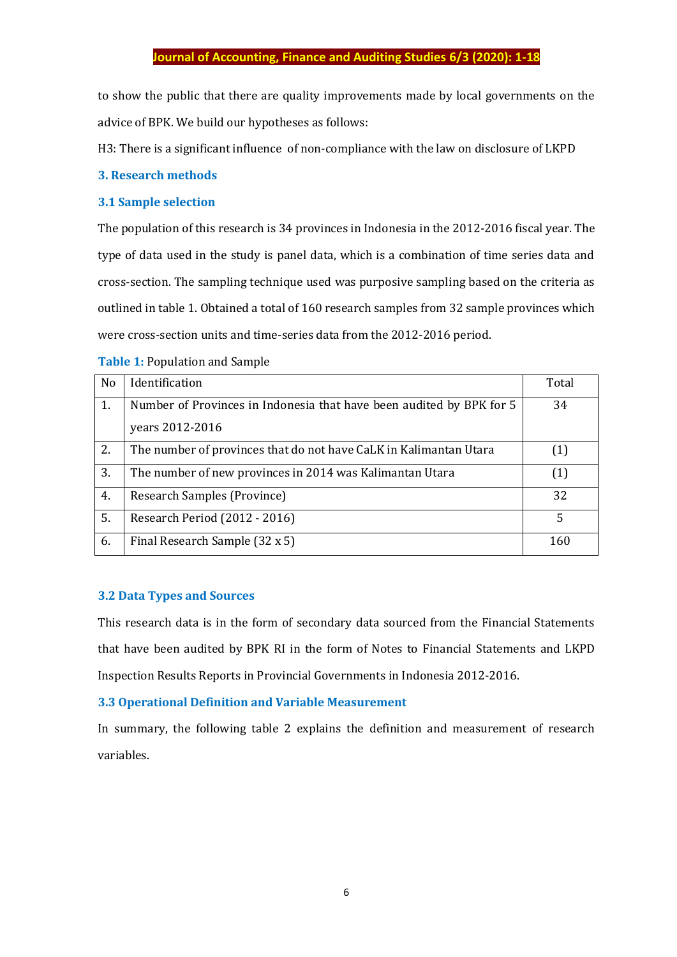to show the public that there are quality improvements made by local governments on the advice of BPK. We build our hypotheses as follows:

H3: There is a significant influence of non-compliance with the law on disclosure of LKPD

## **3. Research methods**

## **3.1 Sample selection**

The population of this research is 34 provinces in Indonesia in the 2012-2016 fiscal year. The type of data used in the study is panel data, which is a combination of time series data and cross-section. The sampling technique used was purposive sampling based on the criteria as outlined in table 1. Obtained a total of 160 research samples from 32 sample provinces which were cross-section units and time-series data from the 2012-2016 period.

|  |  | <b>Table 1: Population and Sample</b> |  |  |
|--|--|---------------------------------------|--|--|
|--|--|---------------------------------------|--|--|

| N <sub>0</sub> | Identification                                                       | Total |
|----------------|----------------------------------------------------------------------|-------|
| 1.             | Number of Provinces in Indonesia that have been audited by BPK for 5 | 34    |
|                | years 2012-2016                                                      |       |
| 2.             | The number of provinces that do not have CaLK in Kalimantan Utara    |       |
| 3.             | The number of new provinces in 2014 was Kalimantan Utara             | (1)   |
| 4.             | Research Samples (Province)                                          | 32    |
| 5.             | Research Period (2012 - 2016)                                        | 5     |
| 6.             | Final Research Sample (32 x 5)                                       | 160   |

## **3.2 Data Types and Sources**

This research data is in the form of secondary data sourced from the Financial Statements that have been audited by BPK RI in the form of Notes to Financial Statements and LKPD Inspection Results Reports in Provincial Governments in Indonesia 2012-2016.

## **3.3 Operational Definition and Variable Measurement**

In summary, the following table 2 explains the definition and measurement of research variables.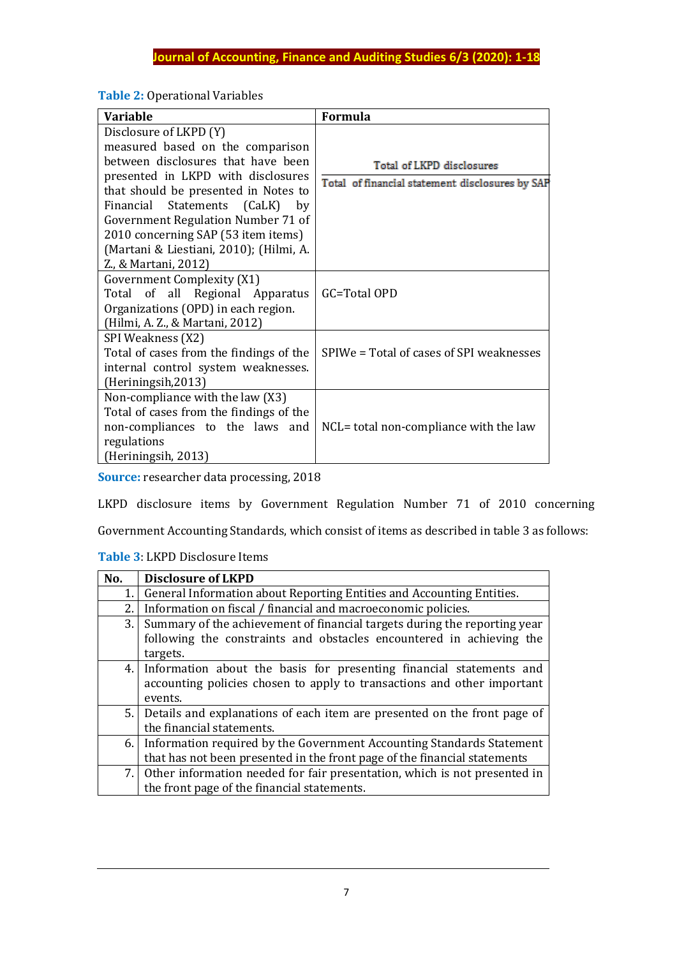## **Table 2:** Operational Variables

| <b>Variable</b>                                                                                                                                                                                                                                                                                                                                                     | <b>Formula</b>                                                               |
|---------------------------------------------------------------------------------------------------------------------------------------------------------------------------------------------------------------------------------------------------------------------------------------------------------------------------------------------------------------------|------------------------------------------------------------------------------|
| Disclosure of LKPD (Y)<br>measured based on the comparison<br>between disclosures that have been<br>presented in LKPD with disclosures<br>that should be presented in Notes to<br>Financial Statements (CaLK)<br>by<br>Government Regulation Number 71 of<br>2010 concerning SAP (53 item items)<br>(Martani & Liestiani, 2010); (Hilmi, A.<br>Z., & Martani, 2012) | Total of LKPD disclosures<br>Total of financial statement disclosures by SAP |
| Government Complexity (X1)<br>Total of all Regional Apparatus<br>Organizations (OPD) in each region.<br>(Hilmi, A. Z., & Martani, 2012)                                                                                                                                                                                                                             | GC=Total OPD                                                                 |
| SPI Weakness (X2)<br>Total of cases from the findings of the<br>internal control system weaknesses.<br>(Heriningsih, 2013)                                                                                                                                                                                                                                          | SPIWe = Total of cases of SPI weaknesses                                     |
| Non-compliance with the law (X3)<br>Total of cases from the findings of the<br>non-compliances to the laws and<br>regulations<br>(Heriningsih, 2013)                                                                                                                                                                                                                | NCL= total non-compliance with the law                                       |

**Source:** researcher data processing, 2018

LKPD disclosure items by Government Regulation Number 71 of 2010 concerning

Government Accounting Standards, which consist of items as described in table 3 as follows:

## **Table 3**: LKPD Disclosure Items

| No.  | <b>Disclosure of LKPD</b>                                                    |
|------|------------------------------------------------------------------------------|
| 1.   | General Information about Reporting Entities and Accounting Entities.        |
| 2.   | Information on fiscal / financial and macroeconomic policies.                |
| 3.   | Summary of the achievement of financial targets during the reporting year    |
|      | following the constraints and obstacles encountered in achieving the         |
|      | targets.                                                                     |
|      | 4. Information about the basis for presenting financial statements and       |
|      | accounting policies chosen to apply to transactions and other important      |
|      | events.                                                                      |
| 5.1  | Details and explanations of each item are presented on the front page of     |
|      | the financial statements.                                                    |
| 6. I | Information required by the Government Accounting Standards Statement        |
|      | that has not been presented in the front page of the financial statements    |
|      | 7. Other information needed for fair presentation, which is not presented in |
|      | the front page of the financial statements.                                  |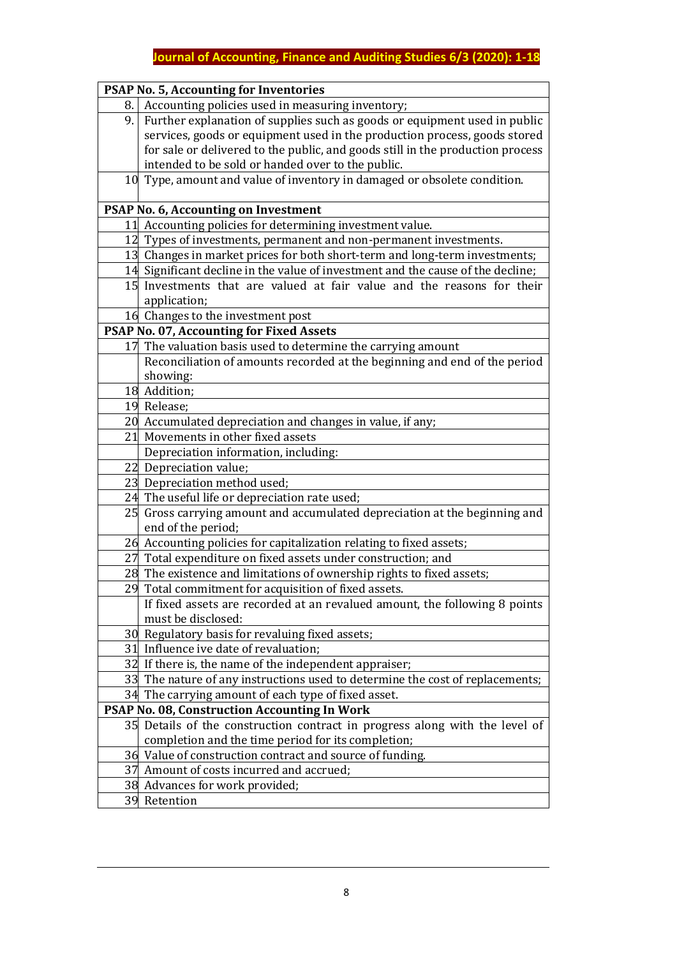|      | <b>PSAP No. 5, Accounting for Inventories</b>                                   |
|------|---------------------------------------------------------------------------------|
| 8. I | Accounting policies used in measuring inventory;                                |
| 9.   | Further explanation of supplies such as goods or equipment used in public       |
|      | services, goods or equipment used in the production process, goods stored       |
|      | for sale or delivered to the public, and goods still in the production process  |
|      | intended to be sold or handed over to the public.                               |
|      | 10 Type, amount and value of inventory in damaged or obsolete condition.        |
|      | PSAP No. 6, Accounting on Investment                                            |
|      | 11 Accounting policies for determining investment value.                        |
|      | 12 Types of investments, permanent and non-permanent investments.               |
|      | 13 Changes in market prices for both short-term and long-term investments;      |
|      | 14 Significant decline in the value of investment and the cause of the decline; |
|      | 15 Investments that are valued at fair value and the reasons for their          |
|      | application;                                                                    |
|      | 16 Changes to the investment post                                               |
|      | PSAP No. 07, Accounting for Fixed Assets                                        |
|      | 17 The valuation basis used to determine the carrying amount                    |
|      | Reconciliation of amounts recorded at the beginning and end of the period       |
|      | showing:                                                                        |
|      | 18 Addition;                                                                    |
|      | 19 Release;                                                                     |
|      | 20 Accumulated depreciation and changes in value, if any;                       |
| 21   | Movements in other fixed assets                                                 |
|      | Depreciation information, including:                                            |
|      | 22 Depreciation value;                                                          |
|      | 23 Depreciation method used;                                                    |
|      | 24 The useful life or depreciation rate used;                                   |
|      | 25 Gross carrying amount and accumulated depreciation at the beginning and      |
|      | end of the period;                                                              |
|      | 26 Accounting policies for capitalization relating to fixed assets;             |
|      | 27 Total expenditure on fixed assets under construction; and                    |
|      | 28 The existence and limitations of ownership rights to fixed assets;           |
|      | 29 Total commitment for acquisition of fixed assets.                            |
|      | If fixed assets are recorded at an revalued amount, the following 8 points      |
|      | must be disclosed:                                                              |
|      | 30 Regulatory basis for revaluing fixed assets;                                 |
|      | 31 Influence ive date of revaluation;                                           |
|      | 32 If there is, the name of the independent appraiser;                          |
|      | 33 The nature of any instructions used to determine the cost of replacements;   |
|      | 34 The carrying amount of each type of fixed asset.                             |
|      | <b>PSAP No. 08, Construction Accounting In Work</b>                             |
|      | 35 Details of the construction contract in progress along with the level of     |
|      | completion and the time period for its completion;                              |
|      | 36 Value of construction contract and source of funding.                        |
|      | 37 Amount of costs incurred and accrued;                                        |
|      | 38 Advances for work provided;                                                  |
|      | 39 Retention                                                                    |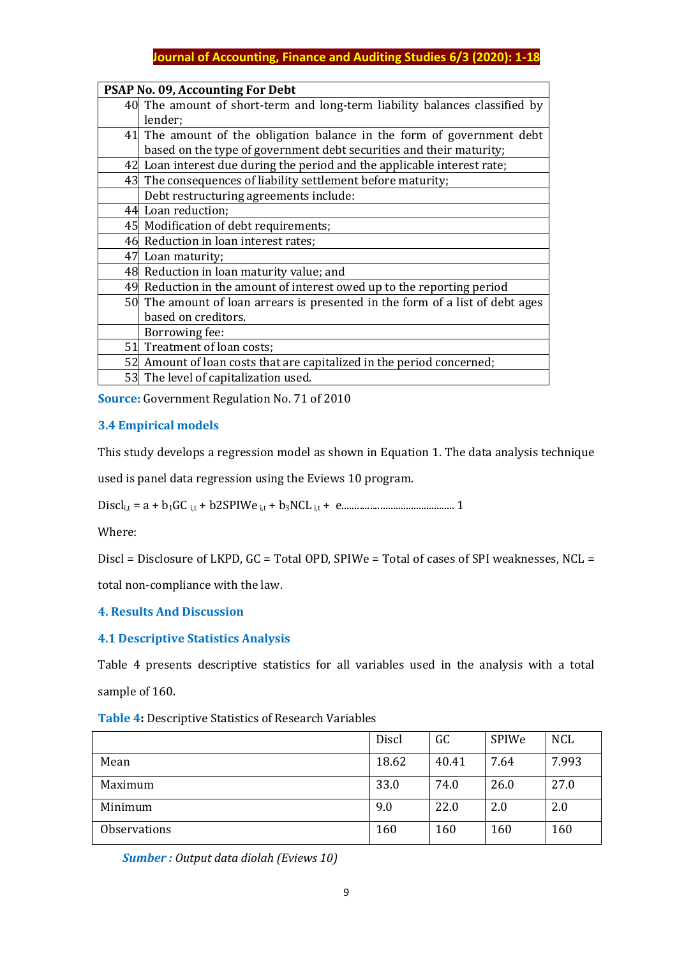|    | PSAP No. 09, Accounting For Debt                                              |
|----|-------------------------------------------------------------------------------|
|    | 40 The amount of short-term and long-term liability balances classified by    |
|    | lender;                                                                       |
|    | 41 The amount of the obligation balance in the form of government debt        |
|    | based on the type of government debt securities and their maturity;           |
|    | 42 Loan interest due during the period and the applicable interest rate;      |
|    | 43 The consequences of liability settlement before maturity;                  |
|    | Debt restructuring agreements include:                                        |
|    | 44 Loan reduction;                                                            |
|    | 45 Modification of debt requirements;                                         |
|    | 46 Reduction in loan interest rates;                                          |
|    | 47 Loan maturity;                                                             |
|    | 48 Reduction in loan maturity value; and                                      |
|    | 49 Reduction in the amount of interest owed up to the reporting period        |
|    | 50 The amount of loan arrears is presented in the form of a list of debt ages |
|    | based on creditors.                                                           |
|    | Borrowing fee:                                                                |
|    | 51 Treatment of loan costs;                                                   |
|    | 52 Amount of loan costs that are capitalized in the period concerned;         |
| 53 | The level of capitalization used.                                             |

**Source:** Government Regulation No. 71 of 2010

## **3.4 Empirical models**

This study develops a regression model as shown in Equation 1. The data analysis technique

used is panel data regression using the Eviews 10 program.

Discli,t = a + b1GC i,t + b2SPIWe i,t + b3NCL i,t + e............................................ 1

Where:

Discl = Disclosure of LKPD, GC = Total OPD, SPIWe = Total of cases of SPI weaknesses, NCL =

total non-compliance with the law.

## **4. Results And Discussion**

#### **4.1 Descriptive Statistics Analysis**

Table 4 presents descriptive statistics for all variables used in the analysis with a total sample of 160.

**Table 4:** Descriptive Statistics of Research Variables

|                     | Discl | GC    | SPIWe | <b>NCL</b> |
|---------------------|-------|-------|-------|------------|
| Mean                | 18.62 | 40.41 | 7.64  | 7.993      |
| Maximum             | 33.0  | 74.0  | 26.0  | 27.0       |
| Minimum             | 9.0   | 22.0  | 2.0   | 2.0        |
| <b>Observations</b> | 160   | 160   | 160   | 160        |

 *Sumber : Output data diolah (Eviews 10)*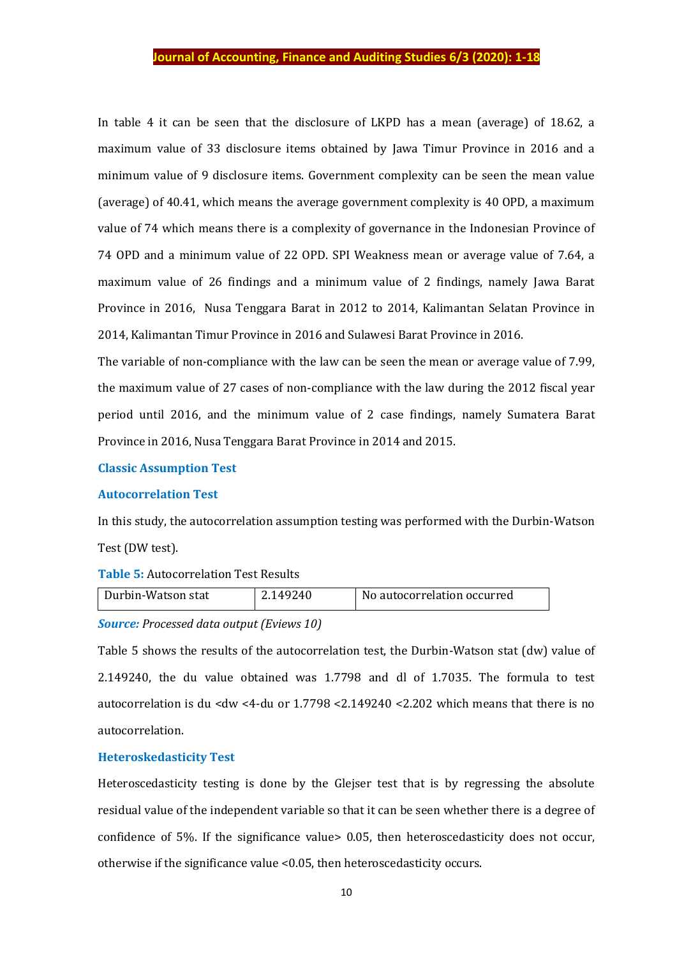In table 4 it can be seen that the disclosure of LKPD has a mean (average) of 18.62, a maximum value of 33 disclosure items obtained by Jawa Timur Province in 2016 and a minimum value of 9 disclosure items. Government complexity can be seen the mean value (average) of 40.41, which means the average government complexity is 40 OPD, a maximum value of 74 which means there is a complexity of governance in the Indonesian Province of 74 OPD and a minimum value of 22 OPD. SPI Weakness mean or average value of 7.64, a maximum value of 26 findings and a minimum value of 2 findings, namely Jawa Barat Province in 2016, Nusa Tenggara Barat in 2012 to 2014, Kalimantan Selatan Province in 2014, Kalimantan Timur Province in 2016 and Sulawesi Barat Province in 2016.

The variable of non-compliance with the law can be seen the mean or average value of 7.99, the maximum value of 27 cases of non-compliance with the law during the 2012 fiscal year period until 2016, and the minimum value of 2 case findings, namely Sumatera Barat Province in 2016, Nusa Tenggara Barat Province in 2014 and 2015.

#### **Classic Assumption Test**

#### **Autocorrelation Test**

In this study, the autocorrelation assumption testing was performed with the Durbin-Watson Test (DW test).

#### **Table 5:** Autocorrelation Test Results

|  | Durbin-Watson stat | 2.149240 | No autocorrelation occurred |
|--|--------------------|----------|-----------------------------|
|--|--------------------|----------|-----------------------------|

## *Source: Processed data output (Eviews 10)*

Table 5 shows the results of the autocorrelation test, the Durbin-Watson stat (dw) value of 2.149240, the du value obtained was 1.7798 and dl of 1.7035. The formula to test autocorrelation is du <dw <4-du or 1.7798 <2.149240 <2.202 which means that there is no autocorrelation.

#### **Heteroskedasticity Test**

Heteroscedasticity testing is done by the Glejser test that is by regressing the absolute residual value of the independent variable so that it can be seen whether there is a degree of confidence of 5%. If the significance value> 0.05, then heteroscedasticity does not occur, otherwise if the significance value <0.05, then heteroscedasticity occurs.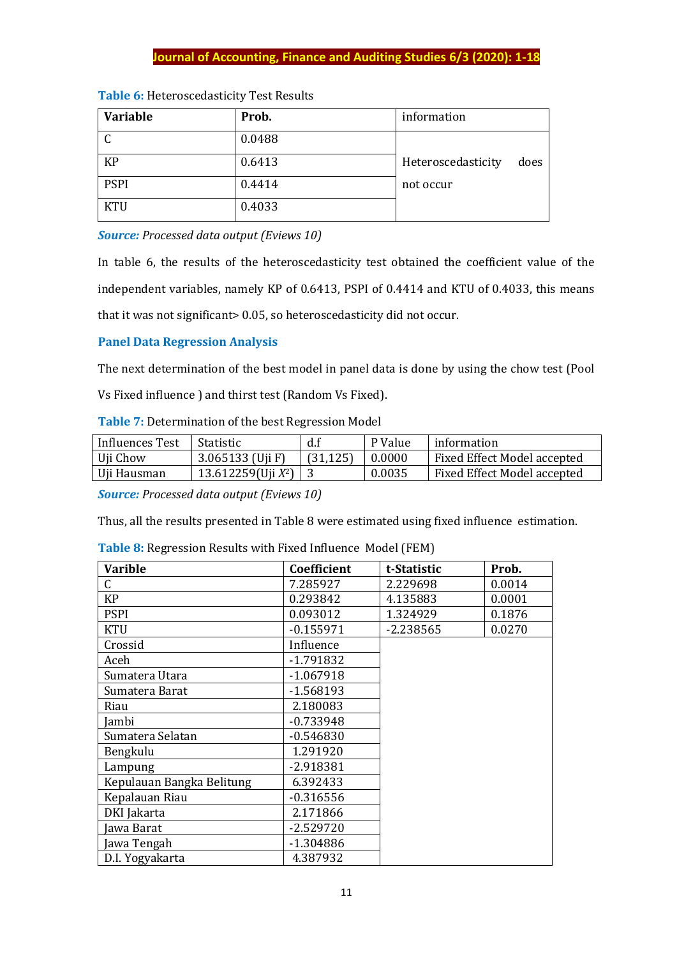| <b>Variable</b> | Prob.  | information                |
|-----------------|--------|----------------------------|
| $\sqrt{ }$      | 0.0488 |                            |
| <b>KP</b>       | 0.6413 | Heteroscedasticity<br>does |
| <b>PSPI</b>     | 0.4414 | not occur                  |
| <b>KTU</b>      | 0.4033 |                            |

|  | Table 6: Heteroscedasticity Test Results |  |  |  |
|--|------------------------------------------|--|--|--|
|--|------------------------------------------|--|--|--|

*Source: Processed data output (Eviews 10)*

In table 6, the results of the heteroscedasticity test obtained the coefficient value of the independent variables, namely KP of 0.6413, PSPI of 0.4414 and KTU of 0.4033, this means that it was not significant> 0.05, so heteroscedasticity did not occur.

## **Panel Data Regression Analysis**

The next determination of the best model in panel data is done by using the chow test (Pool

Vs Fixed influence ) and thirst test (Random Vs Fixed).

**Table 7:** Determination of the best Regression Model

| Influences Test | <b>Statistic</b>        | d.f       | P Value | information                 |
|-----------------|-------------------------|-----------|---------|-----------------------------|
| Uji Chow        | 3.065133 (Uji F)        | (31, 125) | 0.0000  | Fixed Effect Model accepted |
| Uji Hausman     | 13.612259(Uji $X^2$ ) 3 |           | 0.0035  | Fixed Effect Model accepted |

*Source: Processed data output (Eviews 10)*

Thus, all the results presented in Table 8 were estimated using fixed influence estimation.

| <b>Varible</b>            | Coefficient | t-Statistic | Prob.  |
|---------------------------|-------------|-------------|--------|
| C                         | 7.285927    | 2.229698    | 0.0014 |
| <b>KP</b>                 | 0.293842    | 4.135883    | 0.0001 |
| <b>PSPI</b>               | 0.093012    | 1.324929    | 0.1876 |
| <b>KTU</b>                | $-0.155971$ | $-2.238565$ | 0.0270 |
| Crossid                   | Influence   |             |        |
| Aceh                      | $-1.791832$ |             |        |
| Sumatera Utara            | $-1.067918$ |             |        |
| Sumatera Barat            | $-1.568193$ |             |        |
| Riau                      | 2.180083    |             |        |
| Jambi                     | $-0.733948$ |             |        |
| Sumatera Selatan          | $-0.546830$ |             |        |
| Bengkulu                  | 1.291920    |             |        |
| Lampung                   | -2.918381   |             |        |
| Kepulauan Bangka Belitung | 6.392433    |             |        |
| Kepalauan Riau            | $-0.316556$ |             |        |
| DKI Jakarta               | 2.171866    |             |        |
| awa Barat                 | $-2.529720$ |             |        |
| Jawa Tengah               | -1.304886   |             |        |
| D.I. Yogyakarta           | 4.387932    |             |        |

**Table 8:** Regression Results with Fixed Influence Model (FEM)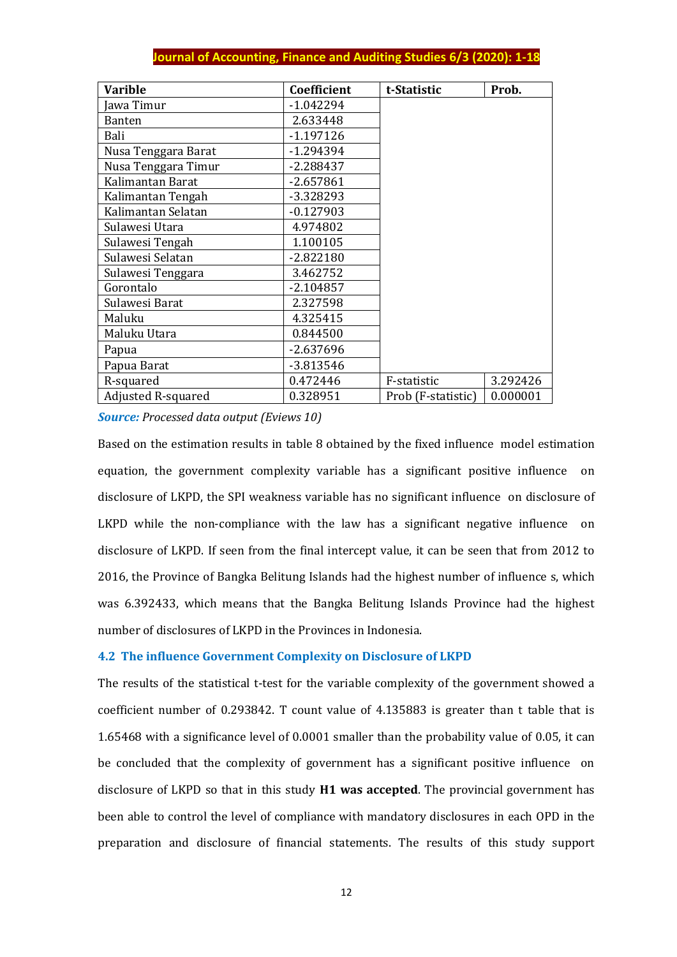| <b>Varible</b>            | Coefficient | t-Statistic        | Prob.    |
|---------------------------|-------------|--------------------|----------|
| awa Timur                 | $-1.042294$ |                    |          |
| <b>Banten</b>             | 2.633448    |                    |          |
| Bali                      | $-1.197126$ |                    |          |
| Nusa Tenggara Barat       | -1.294394   |                    |          |
| Nusa Tenggara Timur       | $-2.288437$ |                    |          |
| Kalimantan Barat          | $-2.657861$ |                    |          |
| Kalimantan Tengah         | -3.328293   |                    |          |
| Kalimantan Selatan        | $-0.127903$ |                    |          |
| Sulawesi Utara            | 4.974802    |                    |          |
| Sulawesi Tengah           | 1.100105    |                    |          |
| Sulawesi Selatan          | $-2.822180$ |                    |          |
| Sulawesi Tenggara         | 3.462752    |                    |          |
| Gorontalo                 | $-2.104857$ |                    |          |
| Sulawesi Barat            | 2.327598    |                    |          |
| Maluku                    | 4.325415    |                    |          |
| Maluku Utara              | 0.844500    |                    |          |
| Papua                     | $-2.637696$ |                    |          |
| Papua Barat               | $-3.813546$ |                    |          |
| R-squared                 | 0.472446    | F-statistic        | 3.292426 |
| <b>Adjusted R-squared</b> | 0.328951    | Prob (F-statistic) | 0.000001 |

*Source: Processed data output (Eviews 10)*

Based on the estimation results in table 8 obtained by the fixed influence model estimation equation, the government complexity variable has a significant positive influence on disclosure of LKPD, the SPI weakness variable has no significant influence on disclosure of LKPD while the non-compliance with the law has a significant negative influence on disclosure of LKPD. If seen from the final intercept value, it can be seen that from 2012 to 2016, the Province of Bangka Belitung Islands had the highest number of influence s, which was 6.392433, which means that the Bangka Belitung Islands Province had the highest number of disclosures of LKPD in the Provinces in Indonesia.

## **4.2 The influence Government Complexity on Disclosure of LKPD**

The results of the statistical t-test for the variable complexity of the government showed a coefficient number of 0.293842. T count value of 4.135883 is greater than t table that is 1.65468 with a significance level of 0.0001 smaller than the probability value of 0.05, it can be concluded that the complexity of government has a significant positive influence on disclosure of LKPD so that in this study **H1 was accepted**. The provincial government has been able to control the level of compliance with mandatory disclosures in each OPD in the preparation and disclosure of financial statements. The results of this study support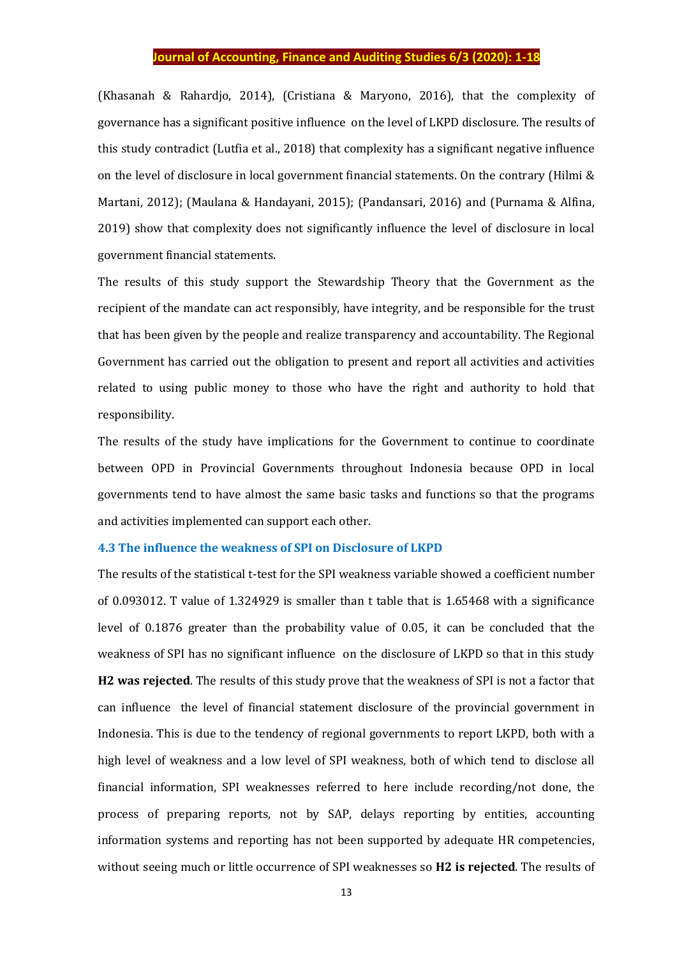(Khasanah & Rahardjo, 2014), (Cristiana & Maryono, 2016), that the complexity of governance has a significant positive influence on the level of LKPD disclosure. The results of this study contradict (Lutfia et al., 2018) that complexity has a significant negative influence on the level of disclosure in local government financial statements. On the contrary (Hilmi & Martani, 2012); (Maulana & Handayani, 2015); (Pandansari, 2016) and (Purnama & Alfina, 2019) show that complexity does not significantly influence the level of disclosure in local government financial statements.

The results of this study support the Stewardship Theory that the Government as the recipient of the mandate can act responsibly, have integrity, and be responsible for the trust that has been given by the people and realize transparency and accountability. The Regional Government has carried out the obligation to present and report all activities and activities related to using public money to those who have the right and authority to hold that responsibility.

The results of the study have implications for the Government to continue to coordinate between OPD in Provincial Governments throughout Indonesia because OPD in local governments tend to have almost the same basic tasks and functions so that the programs and activities implemented can support each other.

#### **4.3 The influence the weakness of SPI on Disclosure of LKPD**

The results of the statistical t-test for the SPI weakness variable showed a coefficient number of 0.093012. T value of 1.324929 is smaller than t table that is 1.65468 with a significance level of 0.1876 greater than the probability value of 0.05, it can be concluded that the weakness of SPI has no significant influence on the disclosure of LKPD so that in this study **H2 was rejected**. The results of this study prove that the weakness of SPI is not a factor that can influence the level of financial statement disclosure of the provincial government in Indonesia. This is due to the tendency of regional governments to report LKPD, both with a high level of weakness and a low level of SPI weakness, both of which tend to disclose all financial information, SPI weaknesses referred to here include recording/not done, the process of preparing reports, not by SAP, delays reporting by entities, accounting information systems and reporting has not been supported by adequate HR competencies, without seeing much or little occurrence of SPI weaknesses so **H2 is rejected**. The results of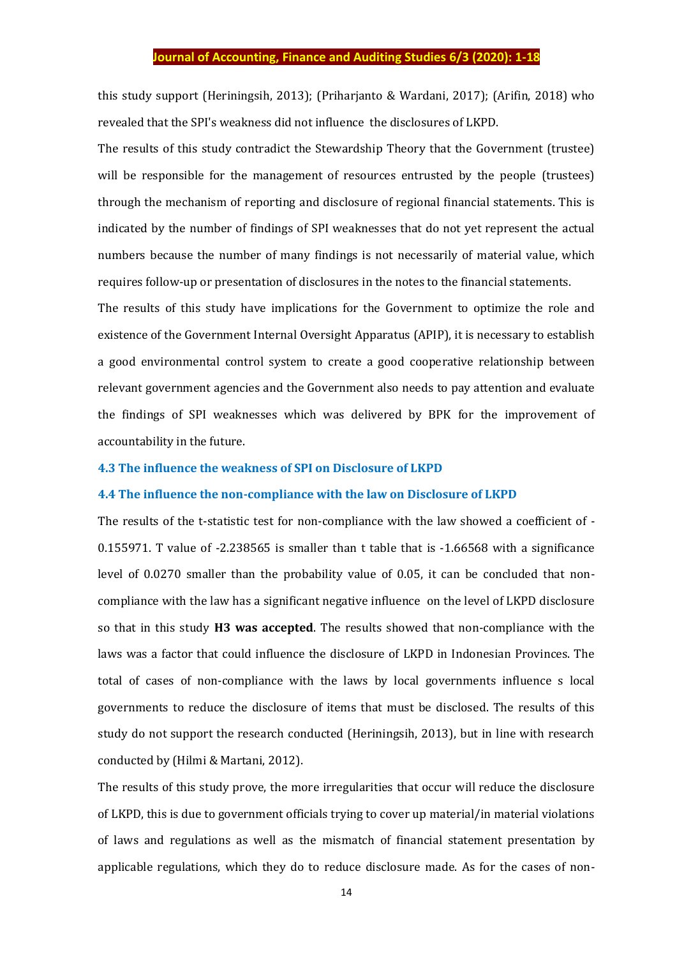this study support (Heriningsih, 2013); (Priharjanto & Wardani, 2017); (Arifin, 2018) who revealed that the SPI's weakness did not influence the disclosures of LKPD.

The results of this study contradict the Stewardship Theory that the Government (trustee) will be responsible for the management of resources entrusted by the people (trustees) through the mechanism of reporting and disclosure of regional financial statements. This is indicated by the number of findings of SPI weaknesses that do not yet represent the actual numbers because the number of many findings is not necessarily of material value, which requires follow-up or presentation of disclosures in the notes to the financial statements.

The results of this study have implications for the Government to optimize the role and existence of the Government Internal Oversight Apparatus (APIP), it is necessary to establish a good environmental control system to create a good cooperative relationship between relevant government agencies and the Government also needs to pay attention and evaluate the findings of SPI weaknesses which was delivered by BPK for the improvement of accountability in the future.

#### **4.3 The influence the weakness of SPI on Disclosure of LKPD**

#### **4.4 The influence the non-compliance with the law on Disclosure of LKPD**

The results of the t-statistic test for non-compliance with the law showed a coefficient of - 0.155971. T value of -2.238565 is smaller than t table that is -1.66568 with a significance level of 0.0270 smaller than the probability value of 0.05, it can be concluded that noncompliance with the law has a significant negative influence on the level of LKPD disclosure so that in this study **H3 was accepted**. The results showed that non-compliance with the laws was a factor that could influence the disclosure of LKPD in Indonesian Provinces. The total of cases of non-compliance with the laws by local governments influence s local governments to reduce the disclosure of items that must be disclosed. The results of this study do not support the research conducted (Heriningsih, 2013), but in line with research conducted by (Hilmi & Martani, 2012).

The results of this study prove, the more irregularities that occur will reduce the disclosure of LKPD, this is due to government officials trying to cover up material/in material violations of laws and regulations as well as the mismatch of financial statement presentation by applicable regulations, which they do to reduce disclosure made. As for the cases of non-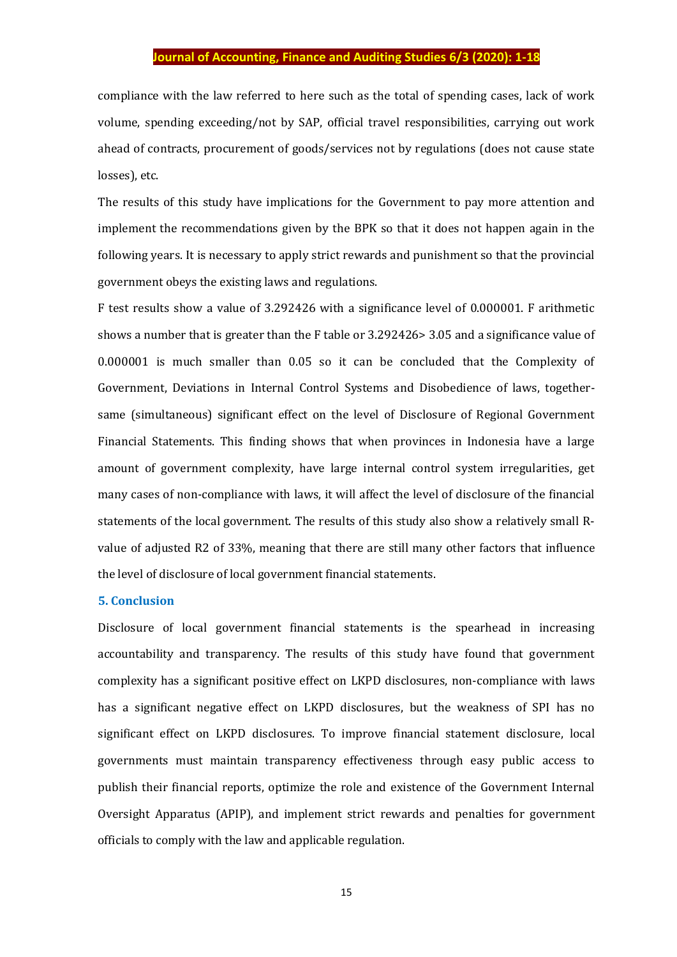compliance with the law referred to here such as the total of spending cases, lack of work volume, spending exceeding/not by SAP, official travel responsibilities, carrying out work ahead of contracts, procurement of goods/services not by regulations (does not cause state losses), etc.

The results of this study have implications for the Government to pay more attention and implement the recommendations given by the BPK so that it does not happen again in the following years. It is necessary to apply strict rewards and punishment so that the provincial government obeys the existing laws and regulations.

F test results show a value of 3.292426 with a significance level of 0.000001. F arithmetic shows a number that is greater than the F table or 3.292426> 3.05 and a significance value of 0.000001 is much smaller than 0.05 so it can be concluded that the Complexity of Government, Deviations in Internal Control Systems and Disobedience of laws, togethersame (simultaneous) significant effect on the level of Disclosure of Regional Government Financial Statements. This finding shows that when provinces in Indonesia have a large amount of government complexity, have large internal control system irregularities, get many cases of non-compliance with laws, it will affect the level of disclosure of the financial statements of the local government. The results of this study also show a relatively small Rvalue of adjusted R2 of 33%, meaning that there are still many other factors that influence the level of disclosure of local government financial statements.

## **5. Conclusion**

Disclosure of local government financial statements is the spearhead in increasing accountability and transparency. The results of this study have found that government complexity has a significant positive effect on LKPD disclosures, non-compliance with laws has a significant negative effect on LKPD disclosures, but the weakness of SPI has no significant effect on LKPD disclosures. To improve financial statement disclosure, local governments must maintain transparency effectiveness through easy public access to publish their financial reports, optimize the role and existence of the Government Internal Oversight Apparatus (APIP), and implement strict rewards and penalties for government officials to comply with the law and applicable regulation.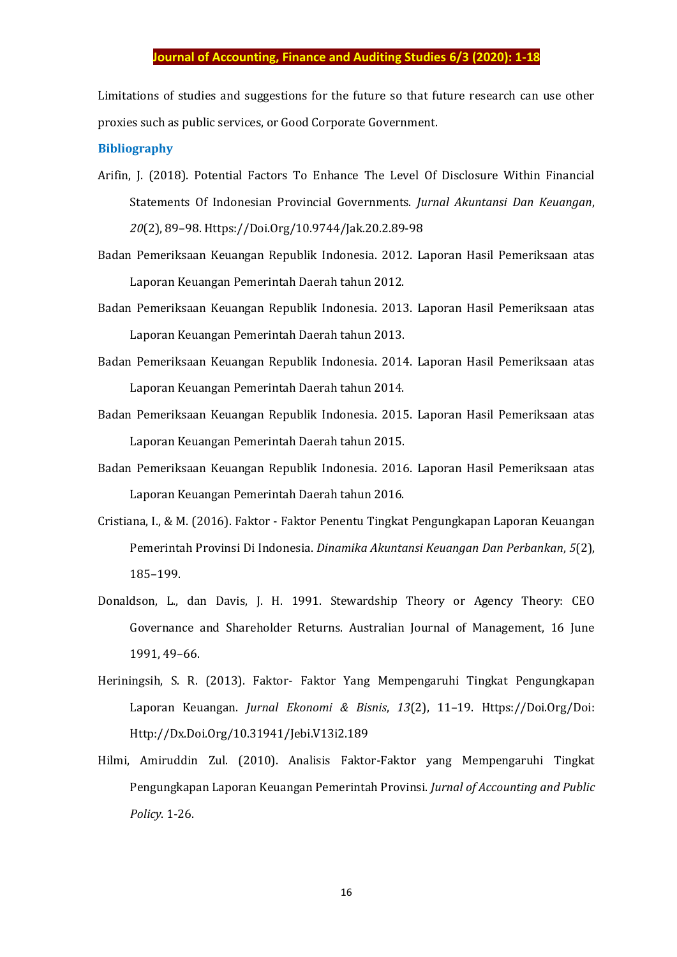Limitations of studies and suggestions for the future so that future research can use other proxies such as public services, or Good Corporate Government.

#### **Bibliography**

- Arifin, J. (2018). Potential Factors To Enhance The Level Of Disclosure Within Financial Statements Of Indonesian Provincial Governments. *Jurnal Akuntansi Dan Keuangan*, *20*(2), 89–98. Https://Doi.Org/10.9744/Jak.20.2.89-98
- Badan Pemeriksaan Keuangan Republik Indonesia. 2012. Laporan Hasil Pemeriksaan atas Laporan Keuangan Pemerintah Daerah tahun 2012.
- Badan Pemeriksaan Keuangan Republik Indonesia. 2013. Laporan Hasil Pemeriksaan atas Laporan Keuangan Pemerintah Daerah tahun 2013.
- Badan Pemeriksaan Keuangan Republik Indonesia. 2014. Laporan Hasil Pemeriksaan atas Laporan Keuangan Pemerintah Daerah tahun 2014.
- Badan Pemeriksaan Keuangan Republik Indonesia. 2015. Laporan Hasil Pemeriksaan atas Laporan Keuangan Pemerintah Daerah tahun 2015.
- Badan Pemeriksaan Keuangan Republik Indonesia. 2016. Laporan Hasil Pemeriksaan atas Laporan Keuangan Pemerintah Daerah tahun 2016.
- Cristiana, I., & M. (2016). Faktor Faktor Penentu Tingkat Pengungkapan Laporan Keuangan Pemerintah Provinsi Di Indonesia. *Dinamika Akuntansi Keuangan Dan Perbankan*, *5*(2), 185–199.
- Donaldson, L., dan Davis, J. H. 1991. Stewardship Theory or Agency Theory: CEO Governance and Shareholder Returns. Australian Journal of Management, 16 June 1991, 49–66.
- Heriningsih, S. R. (2013). Faktor- Faktor Yang Mempengaruhi Tingkat Pengungkapan Laporan Keuangan. *Jurnal Ekonomi & Bisnis*, *13*(2), 11–19. Https://Doi.Org/Doi: Http://Dx.Doi.Org/10.31941/Jebi.V13i2.189
- Hilmi, Amiruddin Zul. (2010). Analisis Faktor-Faktor yang Mempengaruhi Tingkat Pengungkapan Laporan Keuangan Pemerintah Provinsi. *Jurnal of Accounting and Public Policy*. 1-26.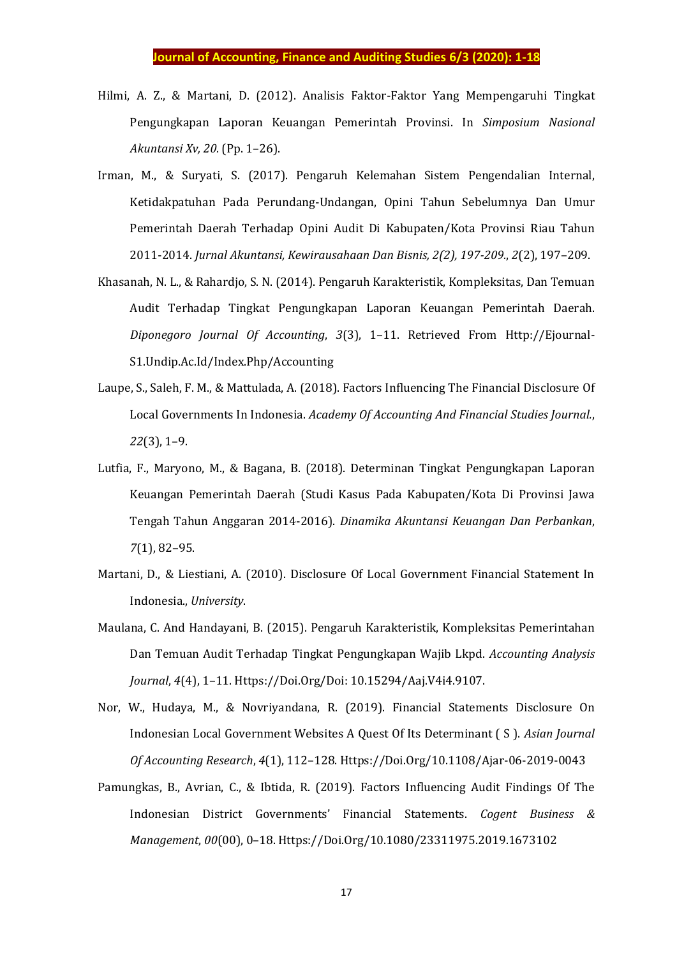- Hilmi, A. Z., & Martani, D. (2012). Analisis Faktor-Faktor Yang Mempengaruhi Tingkat Pengungkapan Laporan Keuangan Pemerintah Provinsi. In *Simposium Nasional Akuntansi Xv, 20.* (Pp. 1–26).
- Irman, M., & Suryati, S. (2017). Pengaruh Kelemahan Sistem Pengendalian Internal, Ketidakpatuhan Pada Perundang-Undangan, Opini Tahun Sebelumnya Dan Umur Pemerintah Daerah Terhadap Opini Audit Di Kabupaten/Kota Provinsi Riau Tahun 2011-2014. *Jurnal Akuntansi, Kewirausahaan Dan Bisnis, 2(2), 197-209.*, *2*(2), 197–209.
- Khasanah, N. L., & Rahardjo, S. N. (2014). Pengaruh Karakteristik, Kompleksitas, Dan Temuan Audit Terhadap Tingkat Pengungkapan Laporan Keuangan Pemerintah Daerah. *Diponegoro Journal Of Accounting*, *3*(3), 1–11. Retrieved From Http://Ejournal-S1.Undip.Ac.Id/Index.Php/Accounting
- Laupe, S., Saleh, F. M., & Mattulada, A. (2018). Factors Influencing The Financial Disclosure Of Local Governments In Indonesia. *Academy Of Accounting And Financial Studies Journal.*, *22*(3), 1–9.
- Lutfia, F., Maryono, M., & Bagana, B. (2018). Determinan Tingkat Pengungkapan Laporan Keuangan Pemerintah Daerah (Studi Kasus Pada Kabupaten/Kota Di Provinsi Jawa Tengah Tahun Anggaran 2014-2016). *Dinamika Akuntansi Keuangan Dan Perbankan*, *7*(1), 82–95.
- Martani, D., & Liestiani, A. (2010). Disclosure Of Local Government Financial Statement In Indonesia., *University*.
- Maulana, C. And Handayani, B. (2015). Pengaruh Karakteristik, Kompleksitas Pemerintahan Dan Temuan Audit Terhadap Tingkat Pengungkapan Wajib Lkpd. *Accounting Analysis Journal*, *4*(4), 1–11. Https://Doi.Org/Doi: 10.15294/Aaj.V4i4.9107.
- Nor, W., Hudaya, M., & Novriyandana, R. (2019). Financial Statements Disclosure On Indonesian Local Government Websites A Quest Of Its Determinant ( S ). *Asian Journal Of Accounting Research*, *4*(1), 112–128. Https://Doi.Org/10.1108/Ajar-06-2019-0043
- Pamungkas, B., Avrian, C., & Ibtida, R. (2019). Factors Influencing Audit Findings Of The Indonesian District Governments' Financial Statements. *Cogent Business & Management*, *00*(00), 0–18. Https://Doi.Org/10.1080/23311975.2019.1673102